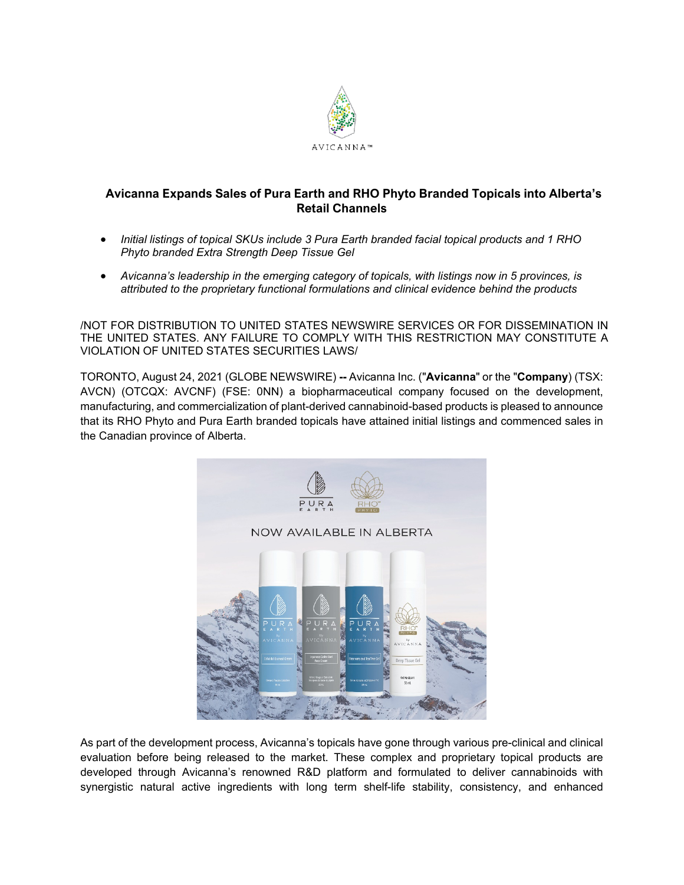

# **Avicanna Expands Sales of Pura Earth and RHO Phyto Branded Topicals into Alberta's Retail Channels**

- *Initial listings of topical SKUs include 3 Pura Earth branded facial topical products and 1 RHO Phyto branded Extra Strength Deep Tissue Gel*
- *Avicanna's leadership in the emerging category of topicals, with listings now in 5 provinces, is attributed to the proprietary functional formulations and clinical evidence behind the products*

/NOT FOR DISTRIBUTION TO UNITED STATES NEWSWIRE SERVICES OR FOR DISSEMINATION IN THE UNITED STATES. ANY FAILURE TO COMPLY WITH THIS RESTRICTION MAY CONSTITUTE A VIOLATION OF UNITED STATES SECURITIES LAWS/

TORONTO, August 24, 2021 (GLOBE NEWSWIRE) **--** Avicanna Inc. ("**Avicanna**" or the "**Company**) (TSX: AVCN) (OTCQX: AVCNF) (FSE: 0NN) a biopharmaceutical company focused on the development, manufacturing, and commercialization of plant-derived cannabinoid-based products is pleased to announce that its RHO Phyto and Pura Earth branded topicals have attained initial listings and commenced sales in the Canadian province of Alberta.



As part of the development process, Avicanna's topicals have gone through various pre-clinical and clinical evaluation before being released to the market. These complex and proprietary topical products are developed through Avicanna's renowned R&D platform and formulated to deliver cannabinoids with synergistic natural active ingredients with long term shelf-life stability, consistency, and enhanced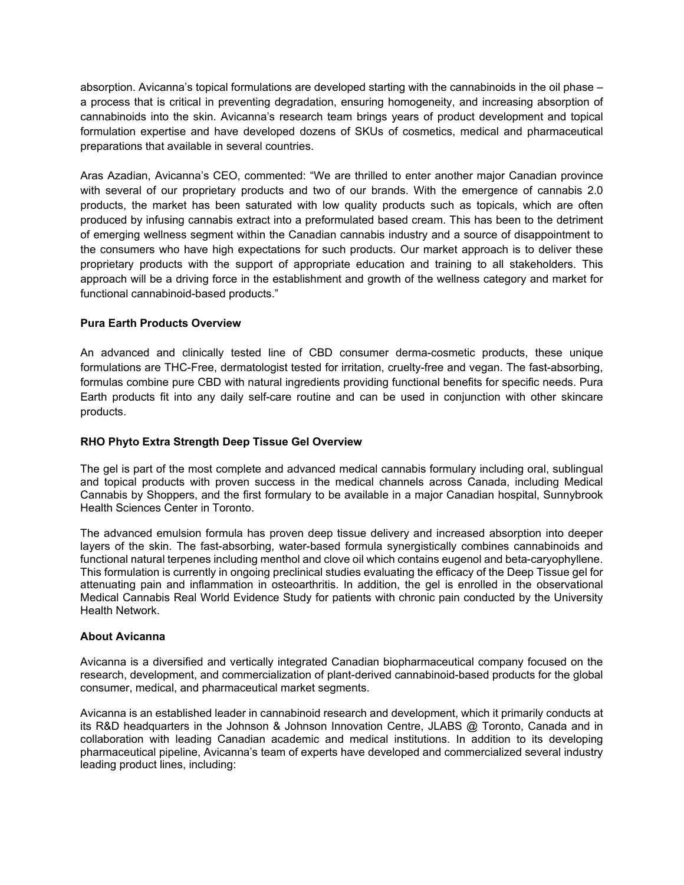absorption. Avicanna's topical formulations are developed starting with the cannabinoids in the oil phase – a process that is critical in preventing degradation, ensuring homogeneity, and increasing absorption of cannabinoids into the skin. Avicanna's research team brings years of product development and topical formulation expertise and have developed dozens of SKUs of cosmetics, medical and pharmaceutical preparations that available in several countries.

Aras Azadian, Avicanna's CEO, commented: "We are thrilled to enter another major Canadian province with several of our proprietary products and two of our brands. With the emergence of cannabis 2.0 products, the market has been saturated with low quality products such as topicals, which are often produced by infusing cannabis extract into a preformulated based cream. This has been to the detriment of emerging wellness segment within the Canadian cannabis industry and a source of disappointment to the consumers who have high expectations for such products. Our market approach is to deliver these proprietary products with the support of appropriate education and training to all stakeholders. This approach will be a driving force in the establishment and growth of the wellness category and market for functional cannabinoid-based products."

# **Pura Earth Products Overview**

An advanced and clinically tested line of CBD consumer derma-cosmetic products, these unique formulations are THC-Free, dermatologist tested for irritation, cruelty-free and vegan. The fast-absorbing, formulas combine pure CBD with natural ingredients providing functional benefits for specific needs. Pura Earth products fit into any daily self-care routine and can be used in conjunction with other skincare products.

# **RHO Phyto Extra Strength Deep Tissue Gel Overview**

The gel is part of the most complete and advanced medical cannabis formulary including oral, sublingual and topical products with proven success in the medical channels across Canada, including Medical Cannabis by Shoppers, and the first formulary to be available in a major Canadian hospital, Sunnybrook Health Sciences Center in Toronto.

The advanced emulsion formula has proven deep tissue delivery and increased absorption into deeper layers of the skin. The fast-absorbing, water-based formula synergistically combines cannabinoids and functional natural terpenes including menthol and clove oil which contains eugenol and beta-caryophyllene. This formulation is currently in ongoing preclinical studies evaluating the efficacy of the Deep Tissue gel for attenuating pain and inflammation in osteoarthritis. In addition, the gel is enrolled in the observational Medical Cannabis Real World Evidence Study for patients with chronic pain conducted by the University Health Network.

### **About Avicanna**

Avicanna is a diversified and vertically integrated Canadian biopharmaceutical company focused on the research, development, and commercialization of plant-derived cannabinoid-based products for the global consumer, medical, and pharmaceutical market segments.

Avicanna is an established leader in cannabinoid research and development, which it primarily conducts at its R&D headquarters in the Johnson & Johnson Innovation Centre, JLABS @ Toronto, Canada and in collaboration with leading Canadian academic and medical institutions. In addition to its developing pharmaceutical pipeline, Avicanna's team of experts have developed and commercialized several industry leading product lines, including: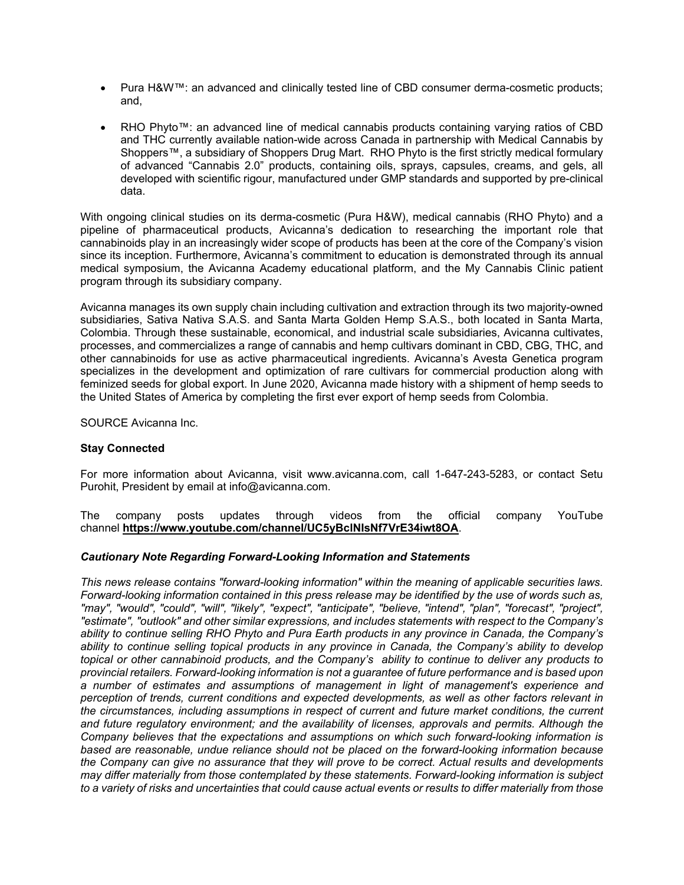- Pura H&W™: an advanced and clinically tested line of CBD consumer derma-cosmetic products; and,
- RHO Phyto™: an advanced line of medical cannabis products containing varying ratios of CBD and THC currently available nation-wide across Canada in partnership with Medical Cannabis by Shoppers™, a subsidiary of Shoppers Drug Mart. RHO Phyto is the first strictly medical formulary of advanced "Cannabis 2.0" products, containing oils, sprays, capsules, creams, and gels, all developed with scientific rigour, manufactured under GMP standards and supported by pre-clinical data.

With ongoing clinical studies on its derma-cosmetic (Pura H&W), medical cannabis (RHO Phyto) and a pipeline of pharmaceutical products, Avicanna's dedication to researching the important role that cannabinoids play in an increasingly wider scope of products has been at the core of the Company's vision since its inception. Furthermore, Avicanna's commitment to education is demonstrated through its annual medical symposium, the Avicanna Academy educational platform, and the My Cannabis Clinic patient program through its subsidiary company.

Avicanna manages its own supply chain including cultivation and extraction through its two majority-owned subsidiaries, Sativa Nativa S.A.S. and Santa Marta Golden Hemp S.A.S., both located in Santa Marta, Colombia. Through these sustainable, economical, and industrial scale subsidiaries, Avicanna cultivates, processes, and commercializes a range of cannabis and hemp cultivars dominant in CBD, CBG, THC, and other cannabinoids for use as active pharmaceutical ingredients. Avicanna's Avesta Genetica program specializes in the development and optimization of rare cultivars for commercial production along with feminized seeds for global export. In June 2020, Avicanna made history with a shipment of hemp seeds to the United States of America by completing the first ever export of hemp seeds from Colombia.

SOURCE Avicanna Inc.

### **Stay Connected**

For more information about Avicanna, visit www.avicanna.com, call 1-647-243-5283, or contact Setu Purohit, President by email at info@avicanna.com.

The company posts updates through videos from the official company YouTube channel **[https://www.youtube.com/channel/UC5yBclNIsNf7VrE34iwt8OA](https://www.globenewswire.com/Tracker?data=Yc3ZROMyC7QpAY2_KXLCl2Rec6EZZXWfb9_EvDgjLIDN27Jkx10sicNV_dugNWMgLftrCb6wrsgWkK8OAEgXNuX_zhu4duEMDe7bw02Cu7iZOHH5e3oXvisxdofSRHuGYFLhQGT3CfOQLB4QDagBho3ogO-xLj2R6sDuxHTpBXYRSGJhYv7z8EeHge_VzRGw)**.

### *Cautionary Note Regarding Forward-Looking Information and Statements*

*This news release contains "forward-looking information" within the meaning of applicable securities laws. Forward-looking information contained in this press release may be identified by the use of words such as, "may", "would", "could", "will", "likely", "expect", "anticipate", "believe, "intend", "plan", "forecast", "project", "estimate", "outlook" and other similar expressions, and includes statements with respect to the Company's ability to continue selling RHO Phyto and Pura Earth products in any province in Canada, the Company's ability to continue selling topical products in any province in Canada, the Company's ability to develop topical or other cannabinoid products, and the Company's ability to continue to deliver any products to provincial retailers. Forward-looking information is not a guarantee of future performance and is based upon a number of estimates and assumptions of management in light of management's experience and perception of trends, current conditions and expected developments, as well as other factors relevant in the circumstances, including assumptions in respect of current and future market conditions, the current and future regulatory environment; and the availability of licenses, approvals and permits. Although the Company believes that the expectations and assumptions on which such forward-looking information is based are reasonable, undue reliance should not be placed on the forward-looking information because the Company can give no assurance that they will prove to be correct. Actual results and developments may differ materially from those contemplated by these statements. Forward-looking information is subject to a variety of risks and uncertainties that could cause actual events or results to differ materially from those*